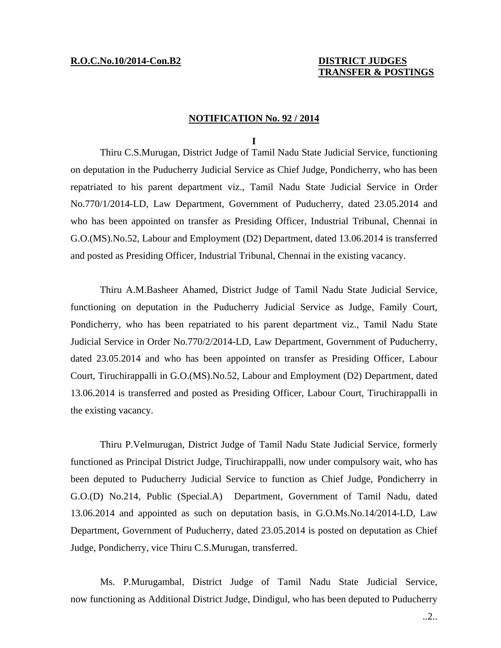# **TRANSFER & POSTINGS**

### **NOTIFICATION No. 92 / 2014**

#### **I**

 Thiru C.S.Murugan, District Judge of Tamil Nadu State Judicial Service, functioning on deputation in the Puducherry Judicial Service as Chief Judge, Pondicherry, who has been repatriated to his parent department viz., Tamil Nadu State Judicial Service in Order No.770/1/2014-LD, Law Department, Government of Puducherry, dated 23.05.2014 and who has been appointed on transfer as Presiding Officer, Industrial Tribunal, Chennai in G.O.(MS).No.52, Labour and Employment (D2) Department, dated 13.06.2014 is transferred and posted as Presiding Officer, Industrial Tribunal, Chennai in the existing vacancy.

 Thiru A.M.Basheer Ahamed, District Judge of Tamil Nadu State Judicial Service, functioning on deputation in the Puducherry Judicial Service as Judge, Family Court, Pondicherry, who has been repatriated to his parent department viz., Tamil Nadu State Judicial Service in Order No.770/2/2014-LD, Law Department, Government of Puducherry, dated 23.05.2014 and who has been appointed on transfer as Presiding Officer, Labour Court, Tiruchirappalli in G.O.(MS).No.52, Labour and Employment (D2) Department, dated 13.06.2014 is transferred and posted as Presiding Officer, Labour Court, Tiruchirappalli in the existing vacancy.

 Thiru P.Velmurugan, District Judge of Tamil Nadu State Judicial Service, formerly functioned as Principal District Judge, Tiruchirappalli, now under compulsory wait, who has been deputed to Puducherry Judicial Service to function as Chief Judge, Pondicherry in G.O.(D) No.214, Public (Special.A) Department, Government of Tamil Nadu, dated 13.06.2014 and appointed as such on deputation basis, in G.O.Ms.No.14/2014-LD, Law Department, Government of Puducherry, dated 23.05.2014 is posted on deputation as Chief Judge, Pondicherry, vice Thiru C.S.Murugan, transferred.

 Ms. P.Murugambal, District Judge of Tamil Nadu State Judicial Service, now functioning as Additional District Judge, Dindigul, who has been deputed to Puducherry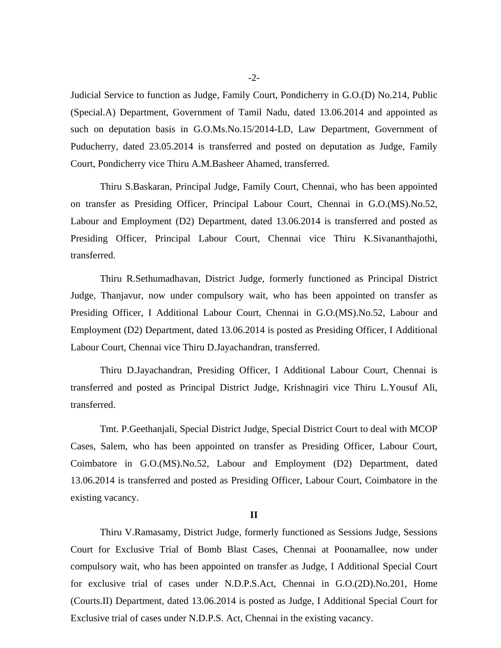Judicial Service to function as Judge, Family Court, Pondicherry in G.O.(D) No.214, Public (Special.A) Department, Government of Tamil Nadu, dated 13.06.2014 and appointed as such on deputation basis in G.O.Ms.No.15/2014-LD, Law Department, Government of Puducherry, dated 23.05.2014 is transferred and posted on deputation as Judge, Family Court, Pondicherry vice Thiru A.M.Basheer Ahamed, transferred.

 Thiru S.Baskaran, Principal Judge, Family Court, Chennai, who has been appointed on transfer as Presiding Officer, Principal Labour Court, Chennai in G.O.(MS).No.52, Labour and Employment (D2) Department, dated 13.06.2014 is transferred and posted as Presiding Officer, Principal Labour Court, Chennai vice Thiru K.Sivananthajothi, transferred.

 Thiru R.Sethumadhavan, District Judge, formerly functioned as Principal District Judge, Thanjavur, now under compulsory wait, who has been appointed on transfer as Presiding Officer, I Additional Labour Court, Chennai in G.O.(MS).No.52, Labour and Employment (D2) Department, dated 13.06.2014 is posted as Presiding Officer, I Additional Labour Court, Chennai vice Thiru D.Jayachandran, transferred.

 Thiru D.Jayachandran, Presiding Officer, I Additional Labour Court, Chennai is transferred and posted as Principal District Judge, Krishnagiri vice Thiru L.Yousuf Ali, transferred.

 Tmt. P.Geethanjali, Special District Judge, Special District Court to deal with MCOP Cases, Salem, who has been appointed on transfer as Presiding Officer, Labour Court, Coimbatore in G.O.(MS).No.52, Labour and Employment (D2) Department, dated 13.06.2014 is transferred and posted as Presiding Officer, Labour Court, Coimbatore in the existing vacancy.

#### **II**

 Thiru V.Ramasamy, District Judge, formerly functioned as Sessions Judge, Sessions Court for Exclusive Trial of Bomb Blast Cases, Chennai at Poonamallee, now under compulsory wait, who has been appointed on transfer as Judge, I Additional Special Court for exclusive trial of cases under N.D.P.S.Act, Chennai in G.O.(2D).No.201, Home (Courts.II) Department, dated 13.06.2014 is posted as Judge, I Additional Special Court for Exclusive trial of cases under N.D.P.S. Act, Chennai in the existing vacancy.